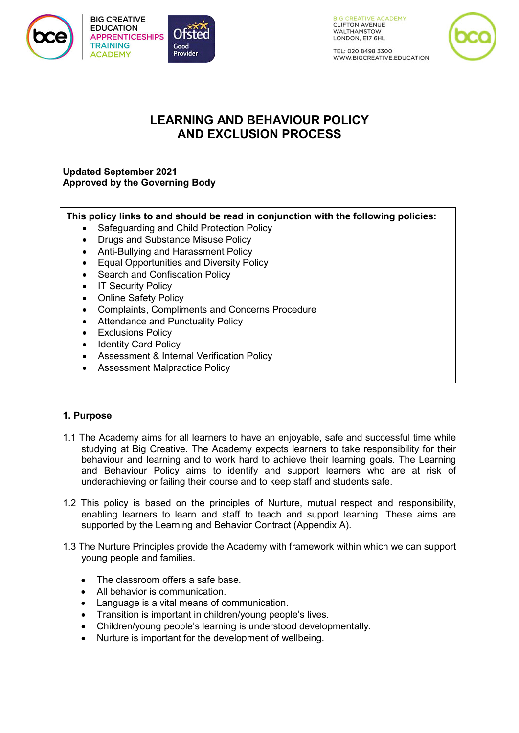

**BIG CREATIVE EDUCATION APPRENTICESHIPS TRAINING ACADEMY** 



**BIG CREATIVE ACADEMY CLIFTON AVENUE** WALTHAMSTOW LONDON, E17 6HL

TEL: 020 8498 3300 WWW.BIGCREATIVE.EDUCATION

# **LEARNING AND BEHAVIOUR POLICY AND EXCLUSION PROCESS**

# **Updated September 2021 Approved by the Governing Body**

# **This policy links to and should be read in conjunction with the following policies:**

- Safeguarding and Child Protection Policy
- Drugs and Substance Misuse Policy
- Anti-Bullying and Harassment Policy
- Equal Opportunities and Diversity Policy
- Search and Confiscation Policy
- IT Security Policy
- Online Safety Policy
- Complaints, Compliments and Concerns Procedure
- Attendance and Punctuality Policy
- Exclusions Policy
- Identity Card Policy
- Assessment & Internal Verification Policy
- Assessment Malpractice Policy

# **1. Purpose**

- 1.1 The Academy aims for all learners to have an enjoyable, safe and successful time while studying at Big Creative. The Academy expects learners to take responsibility for their behaviour and learning and to work hard to achieve their learning goals. The Learning and Behaviour Policy aims to identify and support learners who are at risk of underachieving or failing their course and to keep staff and students safe.
- 1.2 This policy is based on the principles of Nurture, mutual respect and responsibility, enabling learners to learn and staff to teach and support learning. These aims are supported by the Learning and Behavior Contract (Appendix A).
- 1.3 The Nurture Principles provide the Academy with framework within which we can support young people and families.
	- The classroom offers a safe base.
	- All behavior is communication.
	- Language is a vital means of communication.
	- Transition is important in children/young people's lives.
	- Children/young people's learning is understood developmentally.
	- Nurture is important for the development of wellbeing.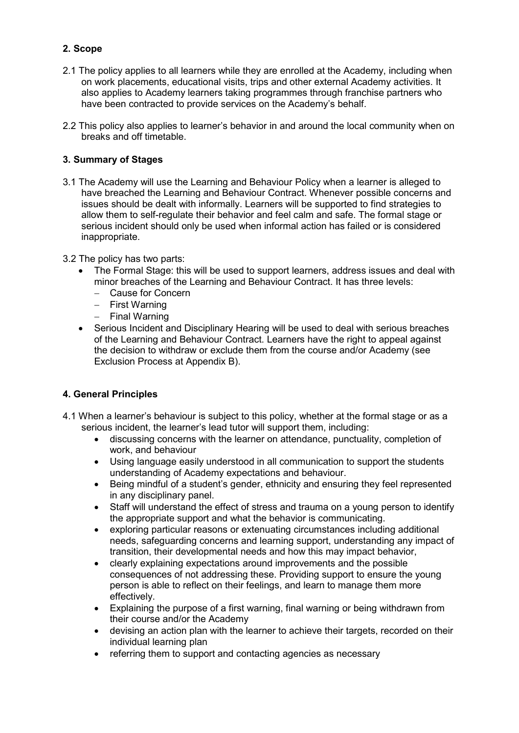# **2. Scope**

- 2.1 The policy applies to all learners while they are enrolled at the Academy, including when on work placements, educational visits, trips and other external Academy activities. It also applies to Academy learners taking programmes through franchise partners who have been contracted to provide services on the Academy's behalf.
- 2.2 This policy also applies to learner's behavior in and around the local community when on breaks and off timetable.

# **3. Summary of Stages**

- 3.1 The Academy will use the Learning and Behaviour Policy when a learner is alleged to have breached the Learning and Behaviour Contract. Whenever possible concerns and issues should be dealt with informally. Learners will be supported to find strategies to allow them to self-regulate their behavior and feel calm and safe. The formal stage or serious incident should only be used when informal action has failed or is considered inappropriate.
- 3.2 The policy has two parts:
	- The Formal Stage: this will be used to support learners, address issues and deal with minor breaches of the Learning and Behaviour Contract. It has three levels:
		- − Cause for Concern
		- − First Warning
		- − Final Warning
	- Serious Incident and Disciplinary Hearing will be used to deal with serious breaches of the Learning and Behaviour Contract. Learners have the right to appeal against the decision to withdraw or exclude them from the course and/or Academy (see Exclusion Process at Appendix B).

# **4. General Principles**

- 4.1 When a learner's behaviour is subject to this policy, whether at the formal stage or as a serious incident, the learner's lead tutor will support them, including:
	- discussing concerns with the learner on attendance, punctuality, completion of work, and behaviour
	- Using language easily understood in all communication to support the students understanding of Academy expectations and behaviour.
	- Being mindful of a student's gender, ethnicity and ensuring they feel represented in any disciplinary panel.
	- Staff will understand the effect of stress and trauma on a young person to identify the appropriate support and what the behavior is communicating.
	- exploring particular reasons or extenuating circumstances including additional needs, safeguarding concerns and learning support, understanding any impact of transition, their developmental needs and how this may impact behavior,
	- clearly explaining expectations around improvements and the possible consequences of not addressing these. Providing support to ensure the young person is able to reflect on their feelings, and learn to manage them more effectively.
	- Explaining the purpose of a first warning, final warning or being withdrawn from their course and/or the Academy
	- devising an action plan with the learner to achieve their targets, recorded on their individual learning plan
	- referring them to support and contacting agencies as necessary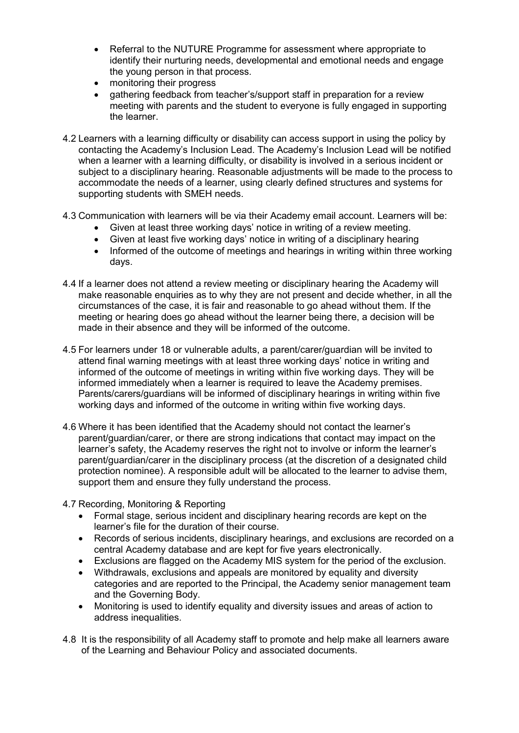- Referral to the NUTURE Programme for assessment where appropriate to identify their nurturing needs, developmental and emotional needs and engage the young person in that process.
- monitoring their progress
- gathering feedback from teacher's/support staff in preparation for a review meeting with parents and the student to everyone is fully engaged in supporting the learner.
- 4.2 Learners with a learning difficulty or disability can access support in using the policy by contacting the Academy's Inclusion Lead. The Academy's Inclusion Lead will be notified when a learner with a learning difficulty, or disability is involved in a serious incident or subject to a disciplinary hearing. Reasonable adjustments will be made to the process to accommodate the needs of a learner, using clearly defined structures and systems for supporting students with SMEH needs.
- 4.3 Communication with learners will be via their Academy email account. Learners will be:
	- Given at least three working days' notice in writing of a review meeting.
	- Given at least five working days' notice in writing of a disciplinary hearing
	- Informed of the outcome of meetings and hearings in writing within three working days.
- 4.4 If a learner does not attend a review meeting or disciplinary hearing the Academy will make reasonable enquiries as to why they are not present and decide whether, in all the circumstances of the case, it is fair and reasonable to go ahead without them. If the meeting or hearing does go ahead without the learner being there, a decision will be made in their absence and they will be informed of the outcome.
- 4.5 For learners under 18 or vulnerable adults, a parent/carer/guardian will be invited to attend final warning meetings with at least three working days' notice in writing and informed of the outcome of meetings in writing within five working days. They will be informed immediately when a learner is required to leave the Academy premises. Parents/carers/guardians will be informed of disciplinary hearings in writing within five working days and informed of the outcome in writing within five working days.
- 4.6 Where it has been identified that the Academy should not contact the learner's parent/guardian/carer, or there are strong indications that contact may impact on the learner's safety, the Academy reserves the right not to involve or inform the learner's parent/guardian/carer in the disciplinary process (at the discretion of a designated child protection nominee). A responsible adult will be allocated to the learner to advise them, support them and ensure they fully understand the process.
- 4.7 Recording, Monitoring & Reporting
	- Formal stage, serious incident and disciplinary hearing records are kept on the learner's file for the duration of their course.
	- Records of serious incidents, disciplinary hearings, and exclusions are recorded on a central Academy database and are kept for five years electronically.
	- Exclusions are flagged on the Academy MIS system for the period of the exclusion.
	- Withdrawals, exclusions and appeals are monitored by equality and diversity categories and are reported to the Principal, the Academy senior management team and the Governing Body.
	- Monitoring is used to identify equality and diversity issues and areas of action to address inequalities.
- 4.8 It is the responsibility of all Academy staff to promote and help make all learners aware of the Learning and Behaviour Policy and associated documents.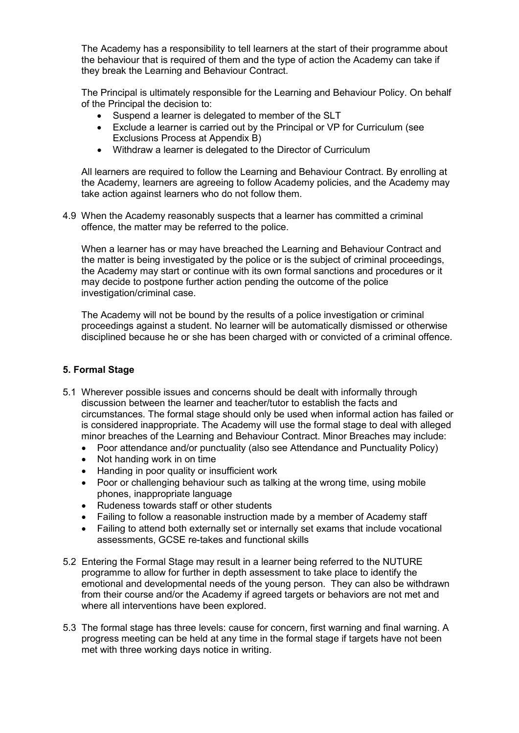The Academy has a responsibility to tell learners at the start of their programme about the behaviour that is required of them and the type of action the Academy can take if they break the Learning and Behaviour Contract.

The Principal is ultimately responsible for the Learning and Behaviour Policy. On behalf of the Principal the decision to:

- Suspend a learner is delegated to member of the SLT
- Exclude a learner is carried out by the Principal or VP for Curriculum (see Exclusions Process at Appendix B)
- Withdraw a learner is delegated to the Director of Curriculum

All learners are required to follow the Learning and Behaviour Contract. By enrolling at the Academy, learners are agreeing to follow Academy policies, and the Academy may take action against learners who do not follow them.

4.9 When the Academy reasonably suspects that a learner has committed a criminal offence, the matter may be referred to the police.

When a learner has or may have breached the Learning and Behaviour Contract and the matter is being investigated by the police or is the subject of criminal proceedings, the Academy may start or continue with its own formal sanctions and procedures or it may decide to postpone further action pending the outcome of the police investigation/criminal case.

The Academy will not be bound by the results of a police investigation or criminal proceedings against a student. No learner will be automatically dismissed or otherwise disciplined because he or she has been charged with or convicted of a criminal offence.

### **5. Formal Stage**

- 5.1 Wherever possible issues and concerns should be dealt with informally through discussion between the learner and teacher/tutor to establish the facts and circumstances. The formal stage should only be used when informal action has failed or is considered inappropriate. The Academy will use the formal stage to deal with alleged minor breaches of the Learning and Behaviour Contract. Minor Breaches may include:
	- Poor attendance and/or punctuality (also see Attendance and Punctuality Policy)
	- Not handing work in on time
	- Handing in poor quality or insufficient work
	- Poor or challenging behaviour such as talking at the wrong time, using mobile phones, inappropriate language
	- Rudeness towards staff or other students
	- Failing to follow a reasonable instruction made by a member of Academy staff
	- Failing to attend both externally set or internally set exams that include vocational assessments, GCSE re-takes and functional skills
- 5.2 Entering the Formal Stage may result in a learner being referred to the NUTURE programme to allow for further in depth assessment to take place to identify the emotional and developmental needs of the young person. They can also be withdrawn from their course and/or the Academy if agreed targets or behaviors are not met and where all interventions have been explored.
- 5.3 The formal stage has three levels: cause for concern, first warning and final warning. A progress meeting can be held at any time in the formal stage if targets have not been met with three working days notice in writing.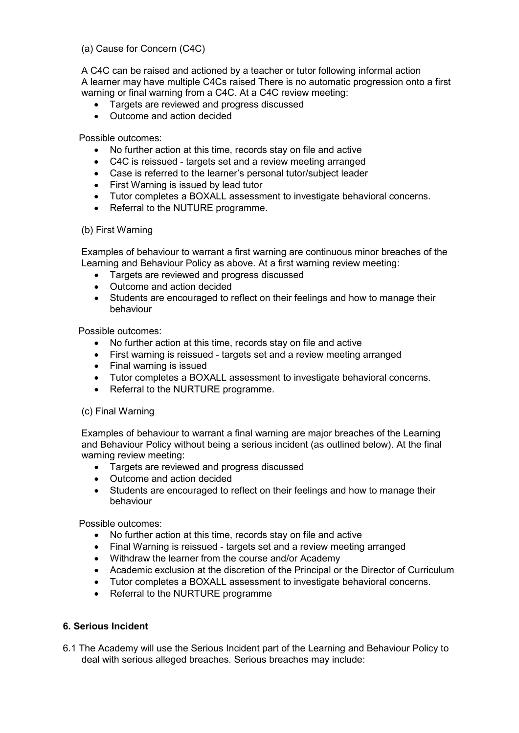(a) Cause for Concern (C4C)

A C4C can be raised and actioned by a teacher or tutor following informal action A learner may have multiple C4Cs raised There is no automatic progression onto a first warning or final warning from a C4C. At a C4C review meeting:

- Targets are reviewed and progress discussed
- Outcome and action decided

Possible outcomes:

- No further action at this time, records stay on file and active
- C4C is reissued targets set and a review meeting arranged
- Case is referred to the learner's personal tutor/subject leader
- First Warning is issued by lead tutor
- Tutor completes a BOXALL assessment to investigate behavioral concerns.
- Referral to the NUTURE programme.

#### (b) First Warning

Examples of behaviour to warrant a first warning are continuous minor breaches of the Learning and Behaviour Policy as above. At a first warning review meeting:

- Targets are reviewed and progress discussed
- Outcome and action decided
- Students are encouraged to reflect on their feelings and how to manage their behaviour

Possible outcomes:

- No further action at this time, records stay on file and active
- First warning is reissued targets set and a review meeting arranged
- Final warning is issued
- Tutor completes a BOXALL assessment to investigate behavioral concerns.
- Referral to the NURTURE programme.

#### (c) Final Warning

Examples of behaviour to warrant a final warning are major breaches of the Learning and Behaviour Policy without being a serious incident (as outlined below). At the final warning review meeting:

- Targets are reviewed and progress discussed
- Outcome and action decided
- Students are encouraged to reflect on their feelings and how to manage their behaviour

Possible outcomes:

- No further action at this time, records stay on file and active
- Final Warning is reissued targets set and a review meeting arranged
- Withdraw the learner from the course and/or Academy
- Academic exclusion at the discretion of the Principal or the Director of Curriculum
- Tutor completes a BOXALL assessment to investigate behavioral concerns.
- Referral to the NURTURE programme

#### **6. Serious Incident**

6.1 The Academy will use the Serious Incident part of the Learning and Behaviour Policy to deal with serious alleged breaches. Serious breaches may include: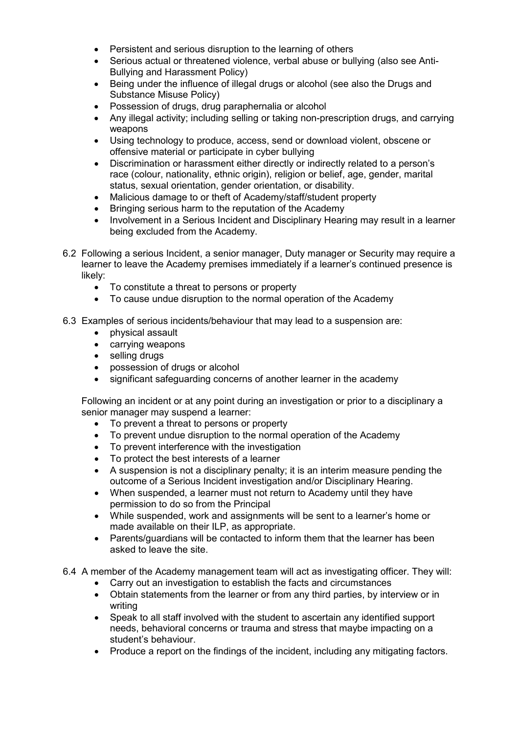- Persistent and serious disruption to the learning of others
- Serious actual or threatened violence, verbal abuse or bullying (also see Anti-Bullying and Harassment Policy)
- Being under the influence of illegal drugs or alcohol (see also the Drugs and Substance Misuse Policy)
- Possession of drugs, drug paraphernalia or alcohol
- Any illegal activity; including selling or taking non-prescription drugs, and carrying weapons
- Using technology to produce, access, send or download violent, obscene or offensive material or participate in cyber bullying
- Discrimination or harassment either directly or indirectly related to a person's race (colour, nationality, ethnic origin), religion or belief, age, gender, marital status, sexual orientation, gender orientation, or disability.
- Malicious damage to or theft of Academy/staff/student property
- Bringing serious harm to the reputation of the Academy
- Involvement in a Serious Incident and Disciplinary Hearing may result in a learner being excluded from the Academy.
- 6.2 Following a serious Incident, a senior manager, Duty manager or Security may require a learner to leave the Academy premises immediately if a learner's continued presence is likely:
	- To constitute a threat to persons or property
	- To cause undue disruption to the normal operation of the Academy
- 6.3 Examples of serious incidents/behaviour that may lead to a suspension are:
	- physical assault
	- carrying weapons
	- selling drugs
	- possession of drugs or alcohol
	- significant safeguarding concerns of another learner in the academy

Following an incident or at any point during an investigation or prior to a disciplinary a senior manager may suspend a learner:

- To prevent a threat to persons or property
- To prevent undue disruption to the normal operation of the Academy
- To prevent interference with the investigation
- To protect the best interests of a learner
- A suspension is not a disciplinary penalty; it is an interim measure pending the outcome of a Serious Incident investigation and/or Disciplinary Hearing.
- When suspended, a learner must not return to Academy until they have permission to do so from the Principal
- While suspended, work and assignments will be sent to a learner's home or made available on their ILP, as appropriate.
- Parents/guardians will be contacted to inform them that the learner has been asked to leave the site.
- 6.4 A member of the Academy management team will act as investigating officer. They will:
	- Carry out an investigation to establish the facts and circumstances
	- Obtain statements from the learner or from any third parties, by interview or in writing
	- Speak to all staff involved with the student to ascertain any identified support needs, behavioral concerns or trauma and stress that maybe impacting on a student's behaviour.
	- Produce a report on the findings of the incident, including any mitigating factors.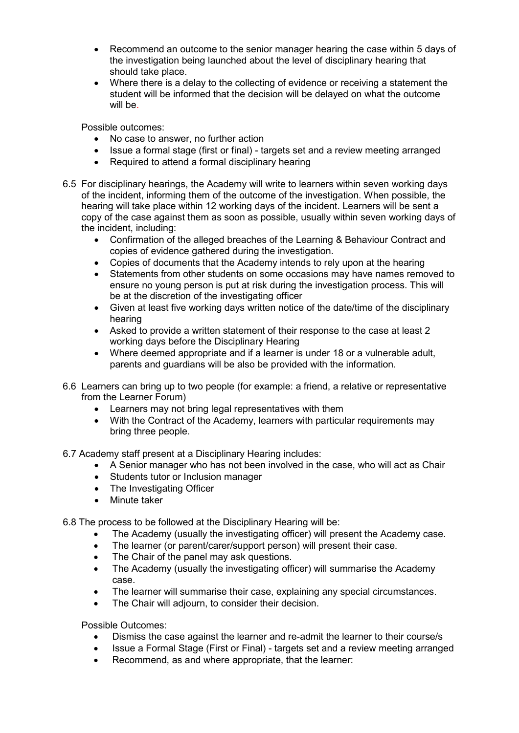- Recommend an outcome to the senior manager hearing the case within 5 days of the investigation being launched about the level of disciplinary hearing that should take place.
- Where there is a delay to the collecting of evidence or receiving a statement the student will be informed that the decision will be delayed on what the outcome will be.

Possible outcomes:

- No case to answer, no further action<br>• Issue a formal stage (first or final) ta
- Issue a formal stage (first or final) targets set and a review meeting arranged
- Required to attend a formal disciplinary hearing
- 6.5 For disciplinary hearings, the Academy will write to learners within seven working days of the incident, informing them of the outcome of the investigation. When possible, the hearing will take place within 12 working days of the incident. Learners will be sent a copy of the case against them as soon as possible, usually within seven working days of the incident, including:
	- Confirmation of the alleged breaches of the Learning & Behaviour Contract and copies of evidence gathered during the investigation.
	- Copies of documents that the Academy intends to rely upon at the hearing
	- Statements from other students on some occasions may have names removed to ensure no young person is put at risk during the investigation process. This will be at the discretion of the investigating officer
	- Given at least five working days written notice of the date/time of the disciplinary hearing
	- Asked to provide a written statement of their response to the case at least 2 working days before the Disciplinary Hearing
	- Where deemed appropriate and if a learner is under 18 or a vulnerable adult, parents and guardians will be also be provided with the information.
- 6.6 Learners can bring up to two people (for example: a friend, a relative or representative from the Learner Forum)
	- Learners may not bring legal representatives with them
	- With the Contract of the Academy, learners with particular requirements may bring three people.

6.7 Academy staff present at a Disciplinary Hearing includes:

- A Senior manager who has not been involved in the case, who will act as Chair
- Students tutor or Inclusion manager
- The Investigating Officer
- Minute taker

6.8 The process to be followed at the Disciplinary Hearing will be:

- The Academy (usually the investigating officer) will present the Academy case.
- The learner (or parent/carer/support person) will present their case.
- The Chair of the panel may ask questions.
- The Academy (usually the investigating officer) will summarise the Academy case.
- The learner will summarise their case, explaining any special circumstances.
- The Chair will adjourn, to consider their decision.

Possible Outcomes:

- Dismiss the case against the learner and re-admit the learner to their course/s
- Issue a Formal Stage (First or Final) targets set and a review meeting arranged
- Recommend, as and where appropriate, that the learner: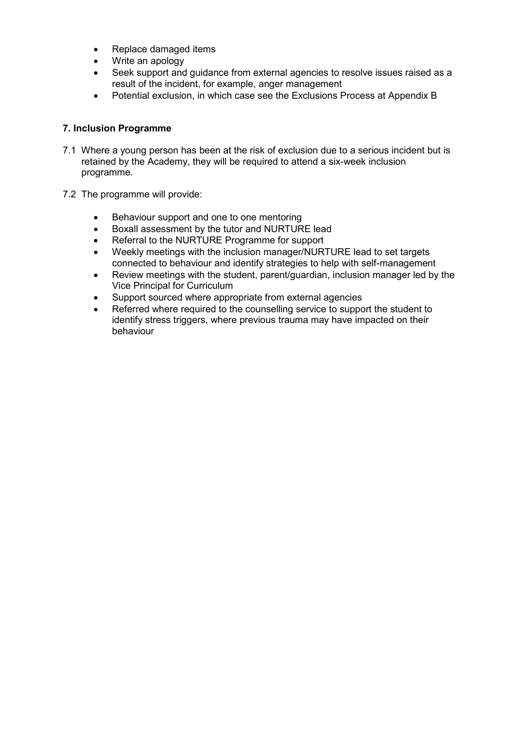- Replace damaged items
- Write an apology
- Seek support and guidance from external agencies to resolve issues raised as a result of the incident, for example, anger management
- Potential exclusion, in which case see the Exclusions Process at Appendix B

#### **7. Inclusion Programme**

- 7.1 Where a young person has been at the risk of exclusion due to a serious incident but is retained by the Academy, they will be required to attend a six-week inclusion programme.
- 7.2 The programme will provide:
	- Behaviour support and one to one mentoring
	- Boxall assessment by the tutor and NURTURE lead
	- Referral to the NURTURE Programme for support
	- Weekly meetings with the inclusion manager/NURTURE lead to set targets connected to behaviour and identify strategies to help with self-management
	- Review meetings with the student, parent/guardian, inclusion manager led by the Vice Principal for Curriculum
	- Support sourced where appropriate from external agencies
	- Referred where required to the counselling service to support the student to identify stress triggers, where previous trauma may have impacted on their behaviour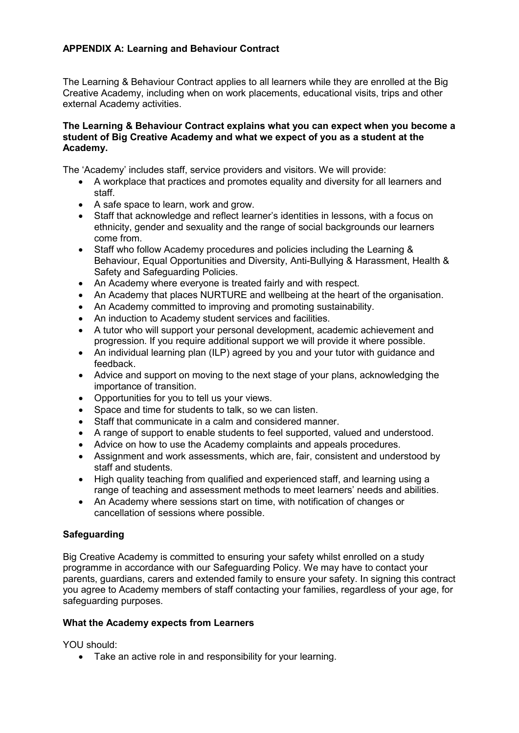# **APPENDIX A: Learning and Behaviour Contract**

The Learning & Behaviour Contract applies to all learners while they are enrolled at the Big Creative Academy, including when on work placements, educational visits, trips and other external Academy activities.

#### **The Learning & Behaviour Contract explains what you can expect when you become a student of Big Creative Academy and what we expect of you as a student at the Academy.**

The 'Academy' includes staff, service providers and visitors. We will provide:

- A workplace that practices and promotes equality and diversity for all learners and staff.
- A safe space to learn, work and grow.
- Staff that acknowledge and reflect learner's identities in lessons, with a focus on ethnicity, gender and sexuality and the range of social backgrounds our learners come from.
- Staff who follow Academy procedures and policies including the Learning & Behaviour, Equal Opportunities and Diversity, Anti-Bullying & Harassment, Health & Safety and Safeguarding Policies.
- An Academy where everyone is treated fairly and with respect.
- An Academy that places NURTURE and wellbeing at the heart of the organisation.
- An Academy committed to improving and promoting sustainability.
- An induction to Academy student services and facilities.
- A tutor who will support your personal development, academic achievement and progression. If you require additional support we will provide it where possible.
- An individual learning plan (ILP) agreed by you and your tutor with guidance and feedback.
- Advice and support on moving to the next stage of your plans, acknowledging the importance of transition.
- Opportunities for you to tell us your views.
- Space and time for students to talk, so we can listen.
- Staff that communicate in a calm and considered manner.
- A range of support to enable students to feel supported, valued and understood.
- Advice on how to use the Academy complaints and appeals procedures.
- Assignment and work assessments, which are, fair, consistent and understood by staff and students.
- High quality teaching from qualified and experienced staff, and learning using a range of teaching and assessment methods to meet learners' needs and abilities.
- An Academy where sessions start on time, with notification of changes or cancellation of sessions where possible.

# **Safeguarding**

Big Creative Academy is committed to ensuring your safety whilst enrolled on a study programme in accordance with our Safeguarding Policy. We may have to contact your parents, guardians, carers and extended family to ensure your safety. In signing this contract you agree to Academy members of staff contacting your families, regardless of your age, for safeguarding purposes.

#### **What the Academy expects from Learners**

YOU should:

• Take an active role in and responsibility for your learning.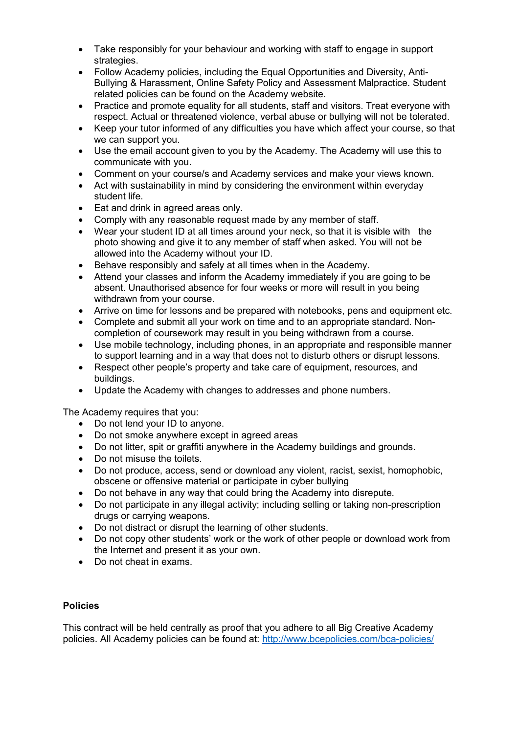- Take responsibly for your behaviour and working with staff to engage in support strategies.
- Follow Academy policies, including the Equal Opportunities and Diversity, Anti-Bullying & Harassment, Online Safety Policy and Assessment Malpractice. Student related policies can be found on the Academy website.
- Practice and promote equality for all students, staff and visitors. Treat everyone with respect. Actual or threatened violence, verbal abuse or bullying will not be tolerated.
- Keep your tutor informed of any difficulties you have which affect your course, so that we can support you.
- Use the email account given to you by the Academy. The Academy will use this to communicate with you.
- Comment on your course/s and Academy services and make your views known.
- Act with sustainability in mind by considering the environment within everyday student life.
- Eat and drink in agreed areas only.
- Comply with any reasonable request made by any member of staff.
- Wear your student ID at all times around your neck, so that it is visible with the photo showing and give it to any member of staff when asked. You will not be allowed into the Academy without your ID.
- Behave responsibly and safely at all times when in the Academy.
- Attend your classes and inform the Academy immediately if you are going to be absent. Unauthorised absence for four weeks or more will result in you being withdrawn from your course.
- Arrive on time for lessons and be prepared with notebooks, pens and equipment etc.
- Complete and submit all your work on time and to an appropriate standard. Noncompletion of coursework may result in you being withdrawn from a course.
- Use mobile technology, including phones, in an appropriate and responsible manner to support learning and in a way that does not to disturb others or disrupt lessons.
- Respect other people's property and take care of equipment, resources, and buildings.
- Update the Academy with changes to addresses and phone numbers.

The Academy requires that you:

- Do not lend your ID to anyone.
- Do not smoke anywhere except in agreed areas
- Do not litter, spit or graffiti anywhere in the Academy buildings and grounds.
- Do not misuse the toilets.
- Do not produce, access, send or download any violent, racist, sexist, homophobic, obscene or offensive material or participate in cyber bullying
- Do not behave in any way that could bring the Academy into disrepute.
- Do not participate in any illegal activity; including selling or taking non-prescription drugs or carrying weapons.
- Do not distract or disrupt the learning of other students.
- Do not copy other students' work or the work of other people or download work from the Internet and present it as your own.
- Do not cheat in exams.

#### **Policies**

This contract will be held centrally as proof that you adhere to all Big Creative Academy policies. All Academy policies can be found at:<http://www.bcepolicies.com/bca-policies/>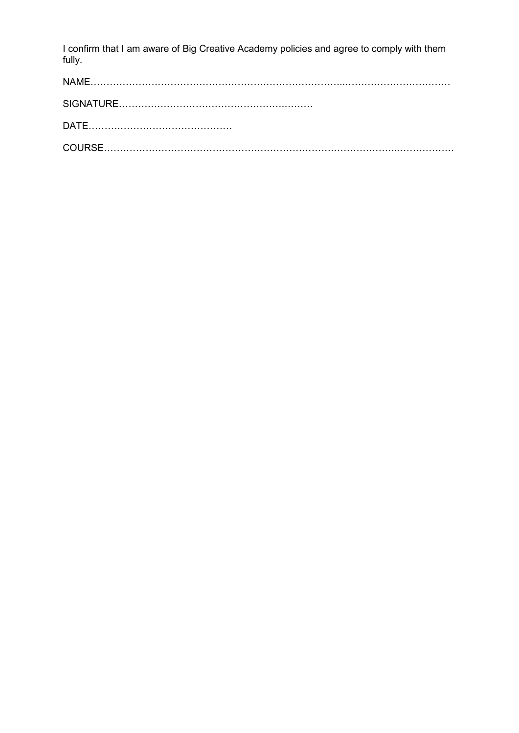I confirm that I am aware of Big Creative Academy policies and agree to comply with them fully.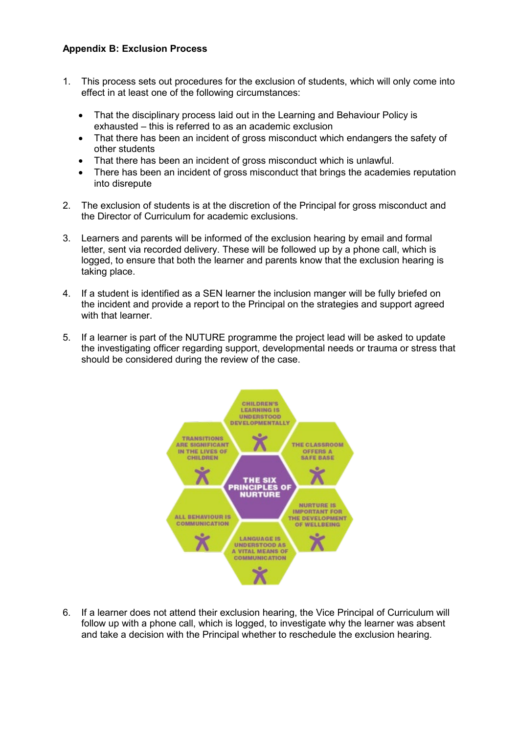# **Appendix B: Exclusion Process**

- 1. This process sets out procedures for the exclusion of students, which will only come into effect in at least one of the following circumstances:
	- That the disciplinary process laid out in the Learning and Behaviour Policy is exhausted – this is referred to as an academic exclusion
	- That there has been an incident of gross misconduct which endangers the safety of other students
	- That there has been an incident of gross misconduct which is unlawful.
	- There has been an incident of gross misconduct that brings the academies reputation into disrepute
- 2. The exclusion of students is at the discretion of the Principal for gross misconduct and the Director of Curriculum for academic exclusions.
- 3. Learners and parents will be informed of the exclusion hearing by email and formal letter, sent via recorded delivery. These will be followed up by a phone call, which is logged, to ensure that both the learner and parents know that the exclusion hearing is taking place.
- 4. If a student is identified as a SEN learner the inclusion manger will be fully briefed on the incident and provide a report to the Principal on the strategies and support agreed with that learner.
- 5. If a learner is part of the NUTURE programme the project lead will be asked to update the investigating officer regarding support, developmental needs or trauma or stress that should be considered during the review of the case.



6. If a learner does not attend their exclusion hearing, the Vice Principal of Curriculum will follow up with a phone call, which is logged, to investigate why the learner was absent and take a decision with the Principal whether to reschedule the exclusion hearing.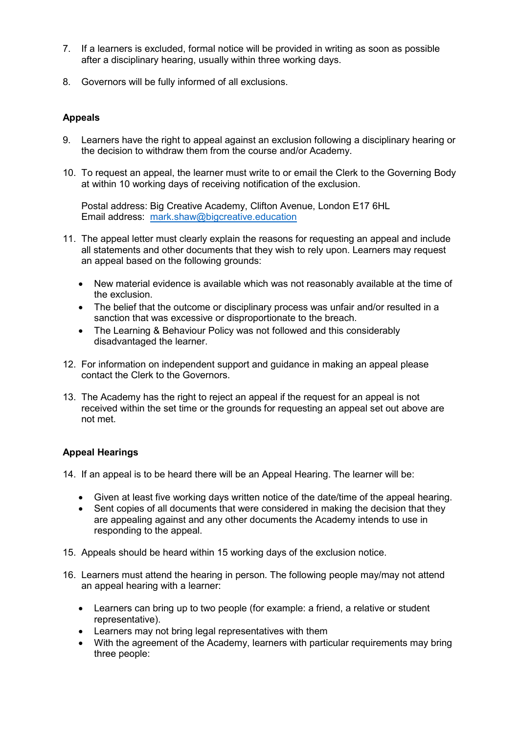- 7. If a learners is excluded, formal notice will be provided in writing as soon as possible after a disciplinary hearing, usually within three working days.
- 8. Governors will be fully informed of all exclusions.

### **Appeals**

- 9. Learners have the right to appeal against an exclusion following a disciplinary hearing or the decision to withdraw them from the course and/or Academy.
- 10. To request an appeal, the learner must write to or email the Clerk to the Governing Body at within 10 working days of receiving notification of the exclusion.

Postal address: Big Creative Academy, Clifton Avenue, London E17 6HL Email address: [mark.shaw@bigcreative.education](mailto:mark.shaw@bigcreative.education)

- 11. The appeal letter must clearly explain the reasons for requesting an appeal and include all statements and other documents that they wish to rely upon. Learners may request an appeal based on the following grounds:
	- New material evidence is available which was not reasonably available at the time of the exclusion.
	- The belief that the outcome or disciplinary process was unfair and/or resulted in a sanction that was excessive or disproportionate to the breach.
	- The Learning & Behaviour Policy was not followed and this considerably disadvantaged the learner.
- 12. For information on independent support and guidance in making an appeal please contact the Clerk to the Governors.
- 13. The Academy has the right to reject an appeal if the request for an appeal is not received within the set time or the grounds for requesting an appeal set out above are not met.

#### **Appeal Hearings**

- 14. If an appeal is to be heard there will be an Appeal Hearing. The learner will be:
	- Given at least five working days written notice of the date/time of the appeal hearing.
	- Sent copies of all documents that were considered in making the decision that they are appealing against and any other documents the Academy intends to use in responding to the appeal.
- 15. Appeals should be heard within 15 working days of the exclusion notice.
- 16. Learners must attend the hearing in person. The following people may/may not attend an appeal hearing with a learner:
	- Learners can bring up to two people (for example: a friend, a relative or student representative).
	- Learners may not bring legal representatives with them
	- With the agreement of the Academy, learners with particular requirements may bring three people: